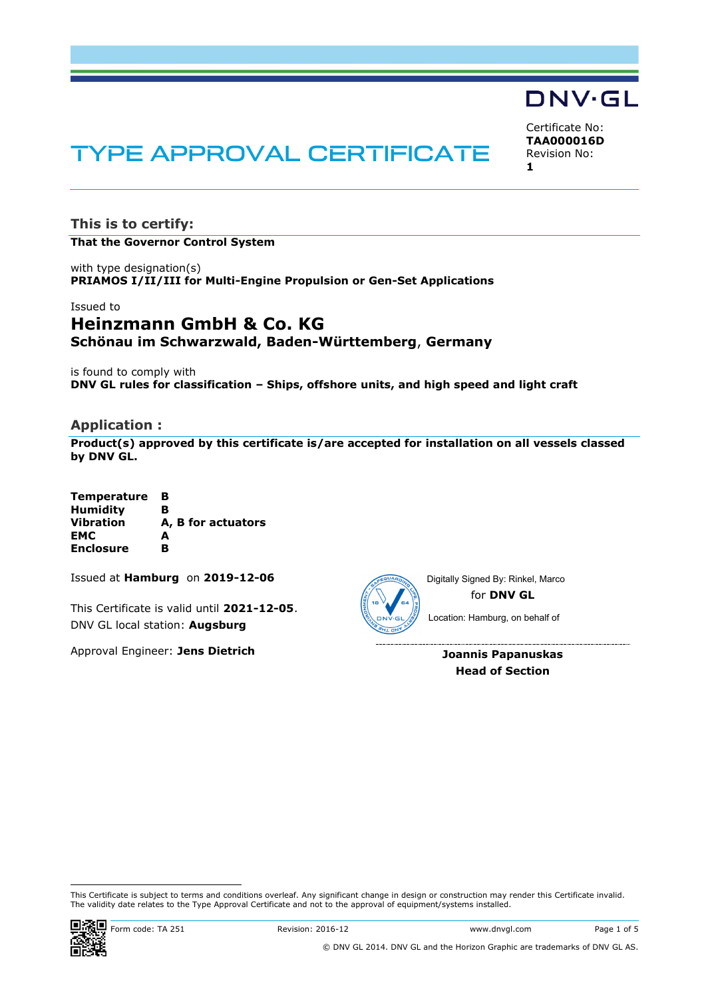# Certificate No:

# **TYPE APPROVAL CERTIFICATE**

**TAA000016D** Revision No: **1**

DNV·GL

**This is to certify: That the Governor Control System**

with type designation(s) **PRIAMOS I/II/III for Multi-Engine Propulsion or Gen-Set Applications** 

## Issued to **Heinzmann GmbH & Co. KG Schönau im Schwarzwald, Baden-Württemberg**, **Germany**

is found to comply with **DNV GL rules for classification – Ships, offshore units, and high speed and light craft**

## **Application :**

**Product(s) approved by this certificate is/are accepted for installation on all vessels classed by DNV GL.**

| <b>Temperature</b> | в                  |
|--------------------|--------------------|
| <b>Humidity</b>    | в                  |
| <b>Vibration</b>   | A, B for actuators |
| <b>EMC</b>         | A                  |
| <b>Enclosure</b>   | R                  |

Issued at **Hamburg** on **2019-12-06**

This Certificate is valid until **2021-12-05**. DNV GL local station: **Augsburg**

Approval Engineer: **Jens Dietrich**



for **DNV GL** Digitally Signed By: Rinkel, Marco

Location: Hamburg, on behalf of

**Joannis Papanuskas Head of Section**

ı

This Certificate is subject to terms and conditions overleaf. Any significant change in design or construction may render this Certificate invalid. The validity date relates to the Type Approval Certificate and not to the approval of equipment/systems installed.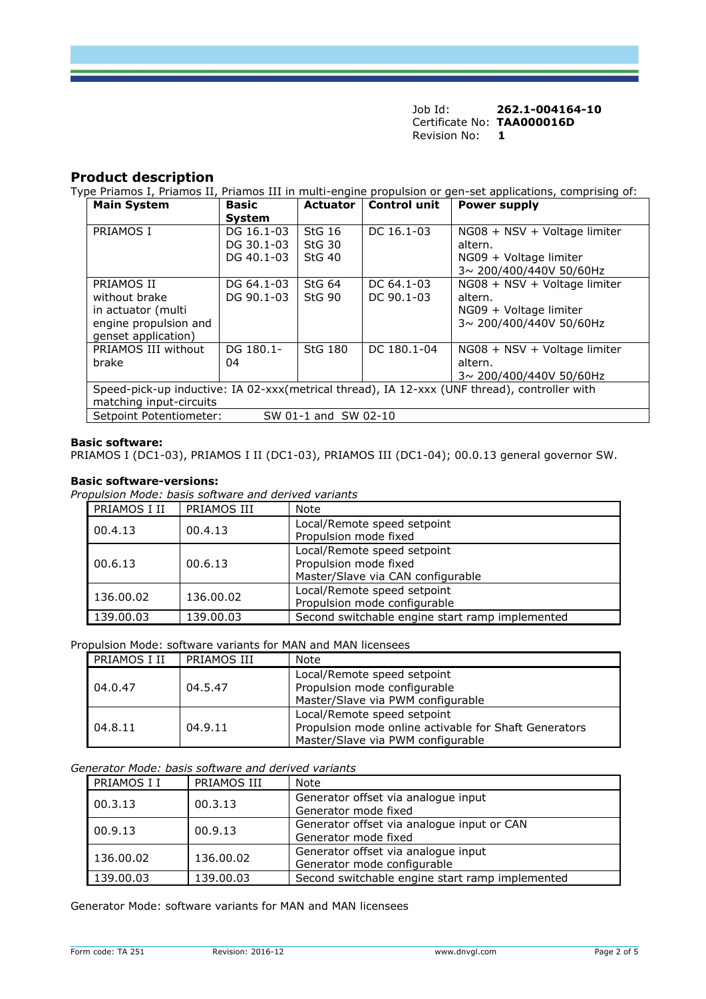## **Product description**

Type Priamos I, Priamos II, Priamos III in multi-engine propulsion or gen-set applications, comprising of:

| <b>Main System</b>                                                                           | <b>Basic</b>  | <b>Actuator</b>   | <b>Control unit</b> | <b>Power supply</b>          |
|----------------------------------------------------------------------------------------------|---------------|-------------------|---------------------|------------------------------|
|                                                                                              | <b>System</b> |                   |                     |                              |
| PRIAMOS I                                                                                    | DG 16.1-03    | StG <sub>16</sub> | DC 16.1-03          | NG08 + NSV + Voltage limiter |
|                                                                                              | DG 30.1-03    | StG <sub>30</sub> |                     | altern.                      |
|                                                                                              | DG 40.1-03    | $StG$ 40          |                     | NG09 + Voltage limiter       |
|                                                                                              |               |                   |                     | 3~ 200/400/440V 50/60Hz      |
| PRIAMOS II                                                                                   | DG 64.1-03    | StG <sub>64</sub> | DC 64.1-03          | NG08 + NSV + Voltage limiter |
| without brake                                                                                | DG 90.1-03    | $StG$ 90          | DC 90.1-03          | altern.                      |
| in actuator (multi                                                                           |               |                   |                     | NG09 + Voltage limiter       |
| engine propulsion and                                                                        |               |                   |                     | 3~ 200/400/440V 50/60Hz      |
| genset application)                                                                          |               |                   |                     |                              |
| PRIAMOS III without                                                                          | DG 180.1-     | <b>StG 180</b>    | DC 180.1-04         | NG08 + NSV + Voltage limiter |
| brake                                                                                        | 04            |                   |                     | altern.                      |
|                                                                                              |               |                   |                     | 3~200/400/440V 50/60Hz       |
| Speed-pick-up inductive: IA 02-xxx(metrical thread), IA 12-xxx (UNF thread), controller with |               |                   |                     |                              |
| matching input-circuits                                                                      |               |                   |                     |                              |
| Setpoint Potentiometer:<br>SW 01-1 and SW 02-10                                              |               |                   |                     |                              |

### **Basic software:**

PRIAMOS I (DC1-03), PRIAMOS I II (DC1-03), PRIAMOS III (DC1-04); 00.0.13 general governor SW.

## **Basic software-versions:**

*Propulsion Mode: basis software and derived variants*

| PRIAMOS I II | PRIAMOS III | Note                                                                                      |
|--------------|-------------|-------------------------------------------------------------------------------------------|
| 00.4.13      | 00.4.13     | Local/Remote speed setpoint<br>Propulsion mode fixed                                      |
| 00.6.13      | 00.6.13     | Local/Remote speed setpoint<br>Propulsion mode fixed<br>Master/Slave via CAN configurable |
| 136.00.02    | 136.00.02   | Local/Remote speed setpoint<br>Propulsion mode configurable                               |
| 139.00.03    | 139.00.03   | Second switchable engine start ramp implemented                                           |

Propulsion Mode: software variants for MAN and MAN licensees

| PRIAMOS I II | PRIAMOS III | Note                                                                                                                      |
|--------------|-------------|---------------------------------------------------------------------------------------------------------------------------|
| 04.0.47      | 04.5.47     | Local/Remote speed setpoint<br>Propulsion mode configurable<br>Master/Slave via PWM configurable                          |
| 04.8.11      | 04.9.11     | Local/Remote speed setpoint<br>Propulsion mode online activable for Shaft Generators<br>Master/Slave via PWM configurable |

*Generator Mode: basis software and derived variants*

| PRIAMOS I I | PRIAMOS III | Note                                                               |
|-------------|-------------|--------------------------------------------------------------------|
| 00.3.13     | 00.3.13     | Generator offset via analogue input<br>Generator mode fixed        |
| 00.9.13     | 00.9.13     | Generator offset via analogue input or CAN<br>Generator mode fixed |
| 136.00.02   | 136,00.02   | Generator offset via analogue input<br>Generator mode configurable |
| 139.00.03   | 139.00.03   | Second switchable engine start ramp implemented                    |

Generator Mode: software variants for MAN and MAN licensees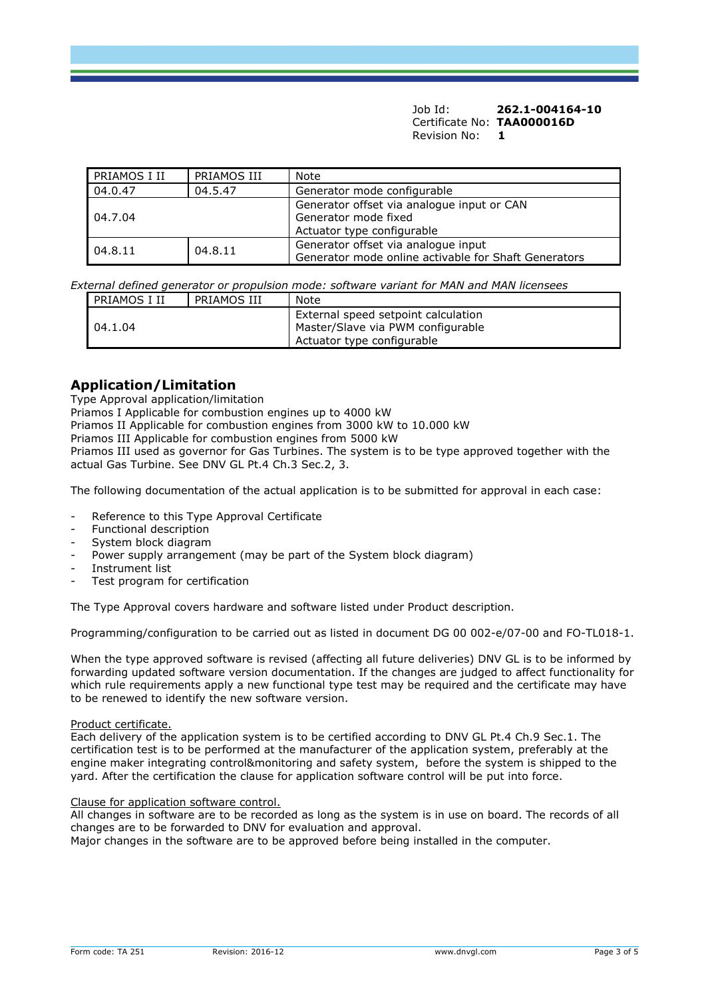| PRIAMOS I II       | PRIAMOS III | Note                                                                                             |
|--------------------|-------------|--------------------------------------------------------------------------------------------------|
| 04.0.47<br>04.5.47 |             | Generator mode configurable                                                                      |
| 04.7.04            |             | Generator offset via analogue input or CAN<br>Generator mode fixed<br>Actuator type configurable |
| 04.8.11<br>04.8.11 |             | Generator offset via analogue input<br>Generator mode online activable for Shaft Generators      |

*External defined generator or propulsion mode: software variant for MAN and MAN licensees*

| PRIAMOS I II | PRIAMOS III | Note                                                                                                   |
|--------------|-------------|--------------------------------------------------------------------------------------------------------|
| 04.1.04      |             | External speed setpoint calculation<br>Master/Slave via PWM configurable<br>Actuator type configurable |

# **Application/Limitation**

Type Approval application/limitation

Priamos I Applicable for combustion engines up to 4000 kW

Priamos II Applicable for combustion engines from 3000 kW to 10.000 kW

Priamos III Applicable for combustion engines from 5000 kW

Priamos III used as governor for Gas Turbines. The system is to be type approved together with the actual Gas Turbine. See DNV GL Pt.4 Ch.3 Sec.2, 3.

The following documentation of the actual application is to be submitted for approval in each case:

- Reference to this Type Approval Certificate
- Functional description
- System block diagram
- Power supply arrangement (may be part of the System block diagram)
- Instrument list
- Test program for certification

The Type Approval covers hardware and software listed under Product description.

Programming/configuration to be carried out as listed in document DG 00 002-e/07-00 and FO-TL018-1.

When the type approved software is revised (affecting all future deliveries) DNV GL is to be informed by forwarding updated software version documentation. If the changes are judged to affect functionality for which rule requirements apply a new functional type test may be required and the certificate may have to be renewed to identify the new software version.

### Product certificate.

Each delivery of the application system is to be certified according to DNV GL Pt.4 Ch.9 Sec.1. The certification test is to be performed at the manufacturer of the application system, preferably at the engine maker integrating control&monitoring and safety system, before the system is shipped to the yard. After the certification the clause for application software control will be put into force.

### Clause for application software control.

All changes in software are to be recorded as long as the system is in use on board. The records of all changes are to be forwarded to DNV for evaluation and approval.

Major changes in the software are to be approved before being installed in the computer.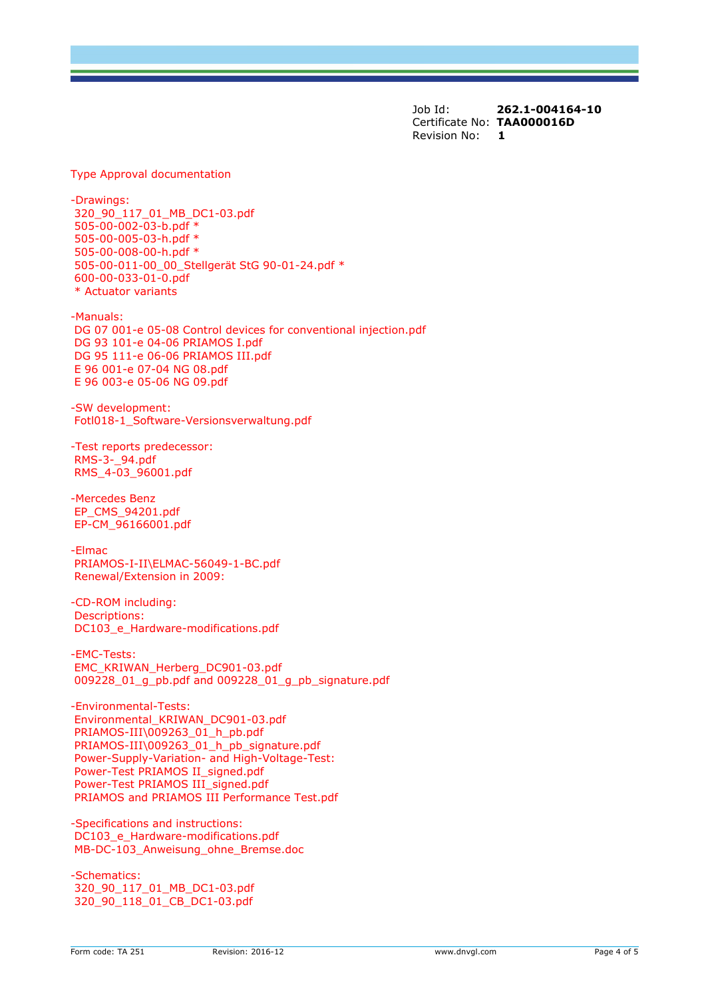Type Approval documentation

-Drawings: 320\_90\_117\_01\_MB\_DC1-03.pdf 505-00-002-03-b.pdf \* 505-00-005-03-h.pdf \* 505-00-008-00-h.pdf \* 505-00-011-00\_00\_Stellgerät StG 90-01-24.pdf \* 600-00-033-01-0.pdf \* Actuator variants

-Manuals: DG 07 001-e 05-08 Control devices for conventional injection.pdf DG 93 101-e 04-06 PRIAMOS I.pdf DG 95 111-e 06-06 PRIAMOS III.pdf E 96 001-e 07-04 NG 08.pdf E 96 003-e 05-06 NG 09.pdf

-SW development: Fotl018-1\_Software-Versionsverwaltung.pdf

-Test reports predecessor: RMS-3-\_94.pdf RMS\_4-03\_96001.pdf

-Mercedes Benz EP\_CMS\_94201.pdf EP-CM\_96166001.pdf

-Elmac PRIAMOS-I-II\ELMAC-56049-1-BC.pdf Renewal/Extension in 2009:

-CD-ROM including: Descriptions: DC103\_e\_Hardware-modifications.pdf

-EMC-Tests: EMC\_KRIWAN\_Herberg\_DC901-03.pdf 009228\_01\_g\_pb.pdf and 009228\_01\_g\_pb\_signature.pdf

-Environmental-Tests: Environmental\_KRIWAN\_DC901-03.pdf PRIAMOS-III\009263\_01\_h\_pb.pdf PRIAMOS-III\009263\_01\_h\_pb\_signature.pdf Power-Supply-Variation- and High-Voltage-Test: Power-Test PRIAMOS II\_signed.pdf Power-Test PRIAMOS III\_signed.pdf PRIAMOS and PRIAMOS III Performance Test.pdf

-Specifications and instructions: DC103\_e\_Hardware-modifications.pdf MB-DC-103\_Anweisung\_ohne\_Bremse.doc

-Schematics: 320\_90\_117\_01\_MB\_DC1-03.pdf 320\_90\_118\_01\_CB\_DC1-03.pdf